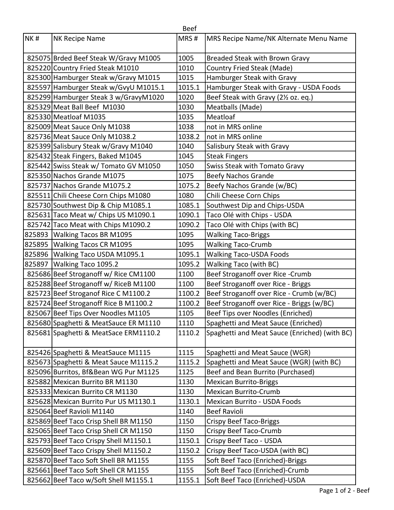|     |                                       | <b>Beef</b> |                                               |
|-----|---------------------------------------|-------------|-----------------------------------------------|
| NK# | <b>NK Recipe Name</b>                 | MRS#        | MRS Recipe Name/NK Alternate Menu Name        |
|     | 825075 Brded Beef Steak W/Gravy M1005 | 1005        | <b>Breaded Steak with Brown Gravy</b>         |
|     | 825220 Country Fried Steak M1010      | 1010        | <b>Country Fried Steak (Made)</b>             |
|     | 825300 Hamburger Steak w/Gravy M1015  | 1015        | Hamburger Steak with Gravy                    |
|     | 825597 Hamburger Steak w/GvyU M1015.1 | 1015.1      | Hamburger Steak with Gravy - USDA Foods       |
|     | 825299 Hamburger Steak 3 w/GravyM1020 | 1020        | Beef Steak with Gravy (21/2 oz. eq.)          |
|     | 825329 Meat Ball Beef M1030           | 1030        | Meatballs (Made)                              |
|     | 825330 Meatloaf M1035                 | 1035        | Meatloaf                                      |
|     | 825009 Meat Sauce Only M1038          | 1038        | not in MRS online                             |
|     | 825736 Meat Sauce Only M1038.2        | 1038.2      | not in MRS online                             |
|     | 825399 Salisbury Steak w/Gravy M1040  | 1040        | Salisbury Steak with Gravy                    |
|     | 825432 Steak Fingers, Baked M1045     | 1045        | <b>Steak Fingers</b>                          |
|     | 825442 Swiss Steak w/ Tomato GV M1050 | 1050        | Swiss Steak with Tomato Gravy                 |
|     | 825350 Nachos Grande M1075            | 1075        | <b>Beefy Nachos Grande</b>                    |
|     | 825737 Nachos Grande M1075.2          | 1075.2      | Beefy Nachos Grande (w/BC)                    |
|     | 825511 Chili Cheese Corn Chips M1080  | 1080        | Chili Cheese Corn Chips                       |
|     | 825730 Southwest Dip & Chip M1085.1   | 1085.1      | Southwest Dip and Chips-USDA                  |
|     | 825631 Taco Meat w/ Chips US M1090.1  | 1090.1      | Taco Olé with Chips - USDA                    |
|     | 825742 Taco Meat with Chips M1090.2   | 1090.2      | Taco Olé with Chips (with BC)                 |
|     | 825893   Walking Tacos BR M1095       | 1095        | <b>Walking Taco-Briggs</b>                    |
|     | 825895   Walking Tacos CR M1095       | 1095        | <b>Walking Taco-Crumb</b>                     |
|     | 825896 Walking Taco USDA M1095.1      | 1095.1      | <b>Walking Taco-USDA Foods</b>                |
|     | 825897   Walking Taco 1095.2          | 1095.2      | Walking Taco (with BC)                        |
|     | 825686 Beef Stroganoff w/ Rice CM1100 | 1100        | Beef Stroganoff over Rice -Crumb              |
|     | 825288 Beef Stroganoff w/ RiceB M1100 | 1100        | Beef Stroganoff over Rice - Briggs            |
|     | 825723 Beef Stroganof Rice C M1100.2  | 1100.2      | Beef Stroganoff over Rice - Crumb (w/BC)      |
|     | 825724 Beef Stroganoff Rice B M1100.2 | 1100.2      | Beef Stroganoff over Rice - Briggs (w/BC)     |
|     | 825067 Beef Tips Over Noodles M1105   | 1105        | Beef Tips over Noodles (Enriched)             |
|     | 825680 Spaghetti & MeatSauce ER M1110 | 1110        | Spaghetti and Meat Sauce (Enriched)           |
|     | 825681 Spaghetti & MeatSace ERM1110.2 | 1110.2      | Spaghetti and Meat Sauce (Enriched) (with BC) |
|     | 825426 Spaghetti & MeatSauce M1115    | 1115        | Spaghetti and Meat Sauce (WGR)                |
|     | 825673 Spaghetti & Meat Sauce M1115.2 | 1115.2      | Spaghetti and Meat Sauce (WGR) (with BC)      |
|     | 825096 Burritos, Bf&Bean WG Pur M1125 | 1125        | Beef and Bean Burrito (Purchased)             |
|     | 825882 Mexican Burrito BR M1130       | 1130        | <b>Mexican Burrito-Briggs</b>                 |
|     | 825333 Mexican Burrito CR M1130       | 1130        | <b>Mexican Burrito-Crumb</b>                  |
|     | 825628 Mexican Burrito Pur US M1130.1 | 1130.1      | Mexican Burrito - USDA Foods                  |
|     | 825064 Beef Ravioli M1140             | 1140        | <b>Beef Ravioli</b>                           |
|     | 825869 Beef Taco Crisp Shell BR M1150 | 1150        | <b>Crispy Beef Taco-Briggs</b>                |
|     | 825065 Beef Taco Crisp Shell CR M1150 | 1150        | Crispy Beef Taco-Crumb                        |
|     | 825793 Beef Taco Crispy Shell M1150.1 | 1150.1      | Crispy Beef Taco - USDA                       |
|     | 825609 Beef Taco Crispy Shell M1150.2 | 1150.2      | Crispy Beef Taco-USDA (with BC)               |
|     | 825870 Beef Taco Soft Shell BR M1155  | 1155        | Soft Beef Taco (Enriched)-Briggs              |
|     | 825661 Beef Taco Soft Shell CR M1155  | 1155        | Soft Beef Taco (Enriched)-Crumb               |
|     | 825662 Beef Taco w/Soft Shell M1155.1 | 1155.1      | Soft Beef Taco (Enriched)-USDA                |